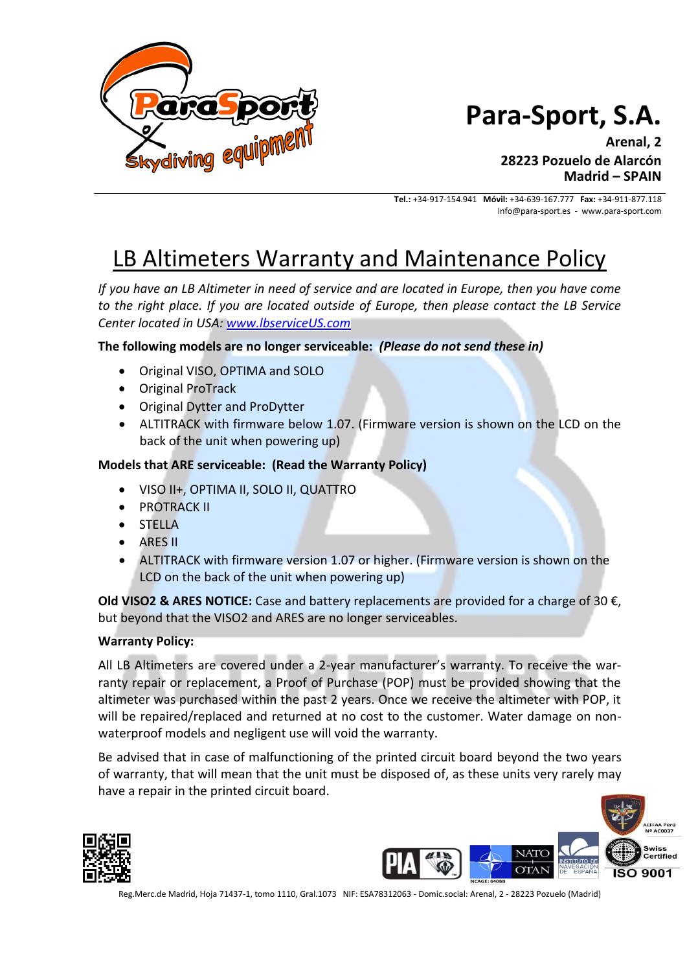

## **Para-Sport, S.A.**

**Arenal, 2 28223 Pozuelo de Alarcón Madrid – SPAIN**

**Tel.:** +34-917-154.941 **Móvil:** +34-639-167.777 **Fax:** +34-911-877.118 info@para-sport.es - www.para-sport.com

### LB Altimeters Warranty and Maintenance Policy

*If you have an LB Altimeter in need of service and are located in Europe, then you have come to the right place. If you are located outside of Europe, then please contact the LB Service Center located in USA: [www.lbserviceUS.com](http://www.lbserviceus.com/)*

**The following models are no longer serviceable:** *(Please do not send these in)*

- Original VISO, OPTIMA and SOLO
- Original ProTrack
- Original Dytter and ProDytter
- ALTITRACK with firmware below 1.07. (Firmware version is shown on the LCD on the back of the unit when powering up)

#### **Models that ARE serviceable: (Read the Warranty Policy)**

- VISO II+, OPTIMA II, SOLO II, QUATTRO
- PROTRACK II
- STELLA
- ARES II
- ALTITRACK with firmware version 1.07 or higher. (Firmware version is shown on the LCD on the back of the unit when powering up)

**Old VISO2 & ARES NOTICE:** Case and battery replacements are provided for a charge of 30 €, but beyond that the VISO2 and ARES are no longer serviceables.

#### **Warranty Policy:**

All LB Altimeters are covered under a 2-year manufacturer's warranty. To receive the warranty repair or replacement, a Proof of Purchase (POP) must be provided showing that the altimeter was purchased within the past 2 years. Once we receive the altimeter with POP, it will be repaired/replaced and returned at no cost to the customer. Water damage on nonwaterproof models and negligent use will void the warranty.

Be advised that in case of malfunctioning of the printed circuit board beyond the two years of warranty, that will mean that the unit must be disposed of, as these units very rarely may have a repair in the printed circuit board.





Reg.Merc.de Madrid, Hoja 71437-1, tomo 1110, Gral.1073 NIF: ESA78312063 - Domic.social: Arenal, 2 - 28223 Pozuelo (Madrid)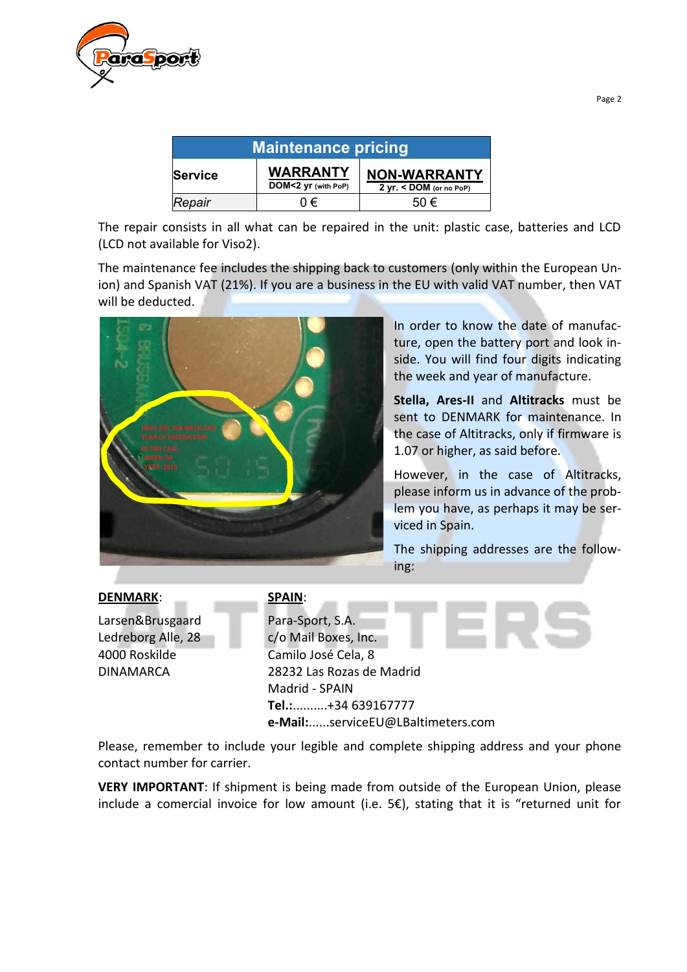

| <b>Maintenance pricing</b> |                                        |                                                  |
|----------------------------|----------------------------------------|--------------------------------------------------|
| <b>Service</b>             | <b>WARRANTY</b><br>DOM<2 yr (with PoP) | <b>NON-WARRANTY</b><br>$2 yr. <$ DOM (or no PoP) |
| Repair                     | 0€                                     | 50 $\epsilon$                                    |

The repair consists in all what can be repaired in the unit: plastic case, batteries and LCD (LCD not available for Viso2).

The maintenance fee includes the shipping back to customers (only within the European Union) and Spanish VAT (21%). If you are a business in the EU with valid VAT number, then VAT will be deducted.



In order to know the date of manufacture, open the battery port and look inside. You will find four digits indicating the week and year of manufacture.

**Stella, Ares-II** and **Altitracks** must be sent to DENMARK for maintenance. In the case of Altitracks, only if firmware is 1.07 or higher, as said before.

However, in the case of Altitracks, please inform us in advance of the problem you have, as perhaps it may be serviced in Spain.

The shipping addresses are the following:

Larsen&Brusgaard Ledreborg Alle, 28 4000 Roskilde DINAMARCA

#### **DENMARK**: **SPAIN**:

Para-Sport, S.A. c/o Mail Boxes, Inc. Camilo José Cela, 8 28232 Las Rozas de Madrid Madrid - SPAIN **Tel.:**..........+34 639167777 **e-Mail:**......serviceEU@LBaltimeters.com

Please, remember to include your legible and complete shipping address and your phone contact number for carrier.

**VERY IMPORTANT**: If shipment is being made from outside of the European Union, please include a comercial invoice for low amount (i.e. 5€), stating that it is "returned unit for